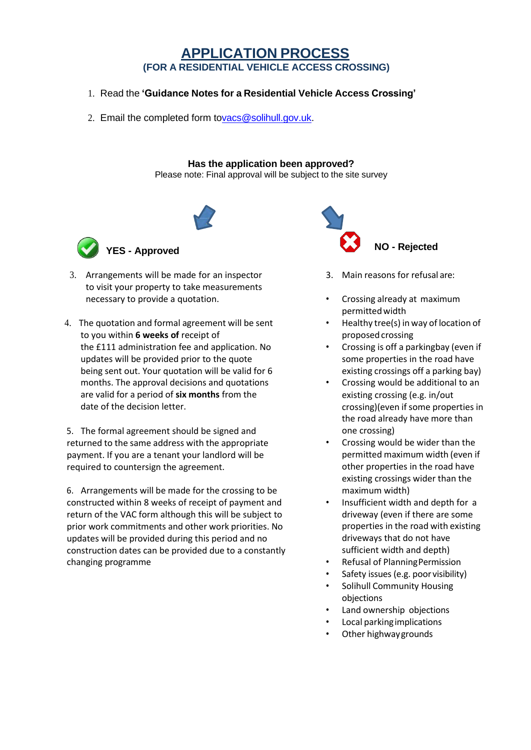# **APPLICATION PROCESS (FOR A RESIDENTIAL VEHICLE ACCESS CROSSING)**

- 1. Read the **'Guidance Notes for a Residential Vehicle Access Crossing'**
- 2. Email the completed form t[ovacs@solihull.gov.uk.](mailto:vacs@solihull.gov.uk)

#### **Has the application been approved?**

Please note: Final approval will be subject to the site survey





- 3. Arrangements will be made for an inspector to visit your property to take measurements necessary to provide a quotation.
- 4. The quotation and formal agreement will be sent to you within **6 weeks of** receipt of the £111 administration fee and application. No updates will be provided prior to the quote being sent out. Your quotation will be valid for 6 months. The approval decisions and quotations are valid for a period of **six months** from the date of the decision letter.

5. The formal agreement should be signed and returned to the same address with the appropriate payment. If you are a tenant your landlord will be required to countersign the agreement.

6. Arrangements will be made for the crossing to be constructed within 8 weeks of receipt of payment and return of the VAC form although this will be subject to prior work commitments and other work priorities. No updates will be provided during this period and no construction dates can be provided due to a constantly changing programme



- 3. Main reasons for refusal are:
- Crossing already at maximum permitted width
- Healthy tree(s) in way of location of proposed crossing
- Crossing is off a parkingbay (even if some properties in the road have existing crossings off a parking bay)
- Crossing would be additional to an existing crossing (e.g. in/out crossing) (even if some properties in the road already have more than one crossing)
- Crossing would be wider than the permitted maximum width (even if other properties in the road have existing crossings wider than the maximum width)
- Insufficient width and depth for a driveway (even if there are some properties in the road with existing driveways that do not have sufficient width and depth)
- Refusal of PlanningPermission
- Safety issues (e.g. poor visibility)
- Solihull Community Housing objections
- Land ownership objections
- Local parkingimplications
- Other highway grounds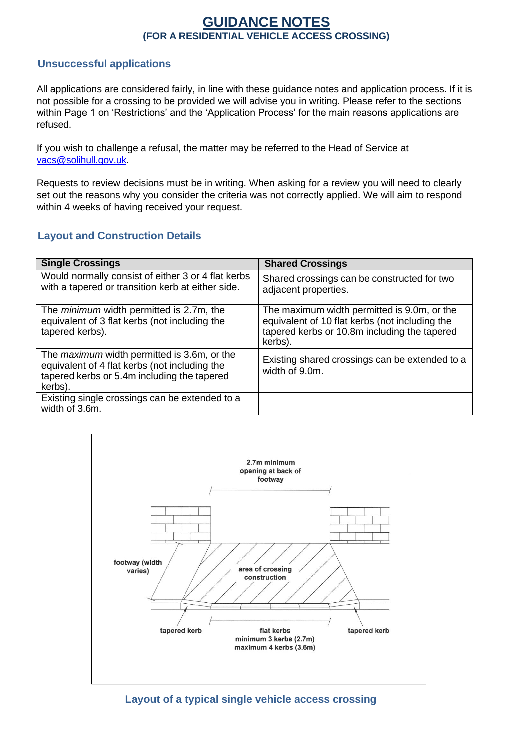# **GUIDANCE NOTES (FOR A RESIDENTIAL VEHICLE ACCESS CROSSING)**

# **Unsuccessful applications**

All applications are considered fairly, in line with these guidance notes and application process. If it is not possible for a crossing to be provided we will advise you in writing. Please refer to the sections within Page 1 on 'Restrictions' and the 'Application Process' for the main reasons applications are refused.

If you wish to challenge a refusal, the matter may be referred to the Head of Service at [vacs@solihull.gov.uk.](mailto:vacs@solihull.gov.uk)

Requests to review decisions must be in writing. When asking for a review you will need to clearly set out the reasons why you consider the criteria was not correctly applied. We will aim to respond within 4 weeks of having received your request.

# **Layout and Construction Details**

| <b>Single Crossings</b>                                                                                                                                       | <b>Shared Crossings</b>                                                                                                                                  |
|---------------------------------------------------------------------------------------------------------------------------------------------------------------|----------------------------------------------------------------------------------------------------------------------------------------------------------|
| Would normally consist of either 3 or 4 flat kerbs<br>with a tapered or transition kerb at either side.                                                       | Shared crossings can be constructed for two<br>adjacent properties.                                                                                      |
| The <i>minimum</i> width permitted is 2.7m, the<br>equivalent of 3 flat kerbs (not including the<br>tapered kerbs).                                           | The maximum width permitted is 9.0m, or the<br>equivalent of 10 flat kerbs (not including the<br>tapered kerbs or 10.8m including the tapered<br>kerbs). |
| The <i>maximum</i> width permitted is 3.6m, or the<br>equivalent of 4 flat kerbs (not including the<br>tapered kerbs or 5.4m including the tapered<br>kerbs). | Existing shared crossings can be extended to a<br>width of 9.0m.                                                                                         |
| Existing single crossings can be extended to a<br>width of 3.6m.                                                                                              |                                                                                                                                                          |



**Layout of a typical single vehicle access crossing**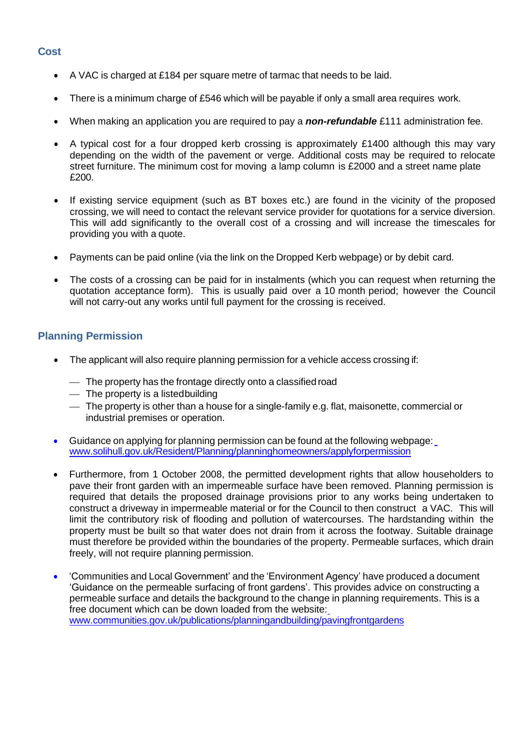#### **Cost**

- A VAC is charged at £184 per square metre of tarmac that needs to be laid.
- There is a minimum charge of £546 which will be payable if only a small area requires work.
- When making an application you are required to pay a *non-refundable* £111 administration fee.
- A typical cost for a four dropped kerb crossing is approximately £1400 although this may vary depending on the width of the pavement or verge. Additional costs may be required to relocate street furniture. The minimum cost for moving a lamp column is £2000 and a street name plate £200.
- If existing service equipment (such as BT boxes etc.) are found in the vicinity of the proposed crossing, we will need to contact the relevant service provider for quotations for a service diversion. This will add significantly to the overall cost of a crossing and will increase the timescales for providing you with a quote.
- Payments can be paid online (via the link on the Dropped Kerb webpage) or by debit card.
- The costs of a crossing can be paid for in instalments (which you can request when returning the quotation acceptance form). This is usually paid over a 10 month period; however the Council will not carry-out any works until full payment for the crossing is received.

## **Planning Permission**

- The applicant will also require planning permission for a vehicle access crossing if:
	- $\overline{\phantom{a}}$  The property has the frontage directly onto a classified road
	- $-$  The property is a listed building
	- $-$  The property is other than a house for a single-family e.g. flat, maisonette, commercial or industrial premises or operation.
- Guidance on applying for planning permission can be found at the following webpage: [www.solihull.gov.uk/Resident/Planning/planninghomeowners/applyforpermission](http://www.solihull.gov.uk/Resident/Planning/planninghomeowners/applyforpermission)
- Furthermore, from 1 October 2008, the permitted development rights that allow householders to pave their front garden with an impermeable surface have been removed. Planning permission is required that details the proposed drainage provisions prior to any works being undertaken to construct a driveway in impermeable material or for the Council to then construct a VAC. This will limit the contributory risk of flooding and pollution of watercourses. The hardstanding within the property must be built so that water does not drain from it across the footway. Suitable drainage must therefore be provided within the boundaries of the property. Permeable surfaces, which drain freely, will not require planning permission.
- 'Communities and Local Government' and the 'Environment Agency' have produced a document 'Guidance on the permeable surfacing of front gardens'. This provides advice on constructing a permeable surface and details the background to the change in planning requirements. This is a free document which can be down loaded from the website: [www.communities.gov.uk/publications/planningandbuilding/pavingfrontgardens](http://www.communities.gov.uk/publications/planningandbuilding/pavingfrontgardens)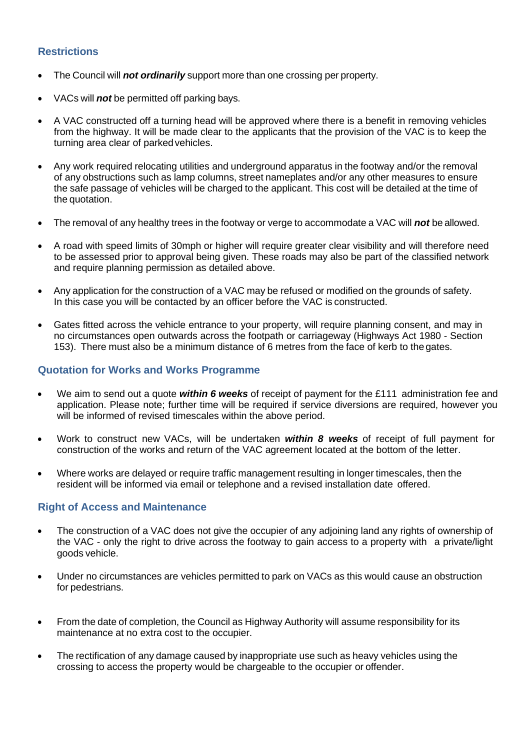### **Restrictions**

- The Council will *not ordinarily* support more than one crossing per property.
- VACs will *not* be permitted off parking bays.
- A VAC constructed off a turning head will be approved where there is a benefit in removing vehicles from the highway. It will be made clear to the applicants that the provision of the VAC is to keep the turning area clear of parkedvehicles.
- Any work required relocating utilities and underground apparatus in the footway and/or the removal of any obstructions such as lamp columns, street nameplates and/or any other measures to ensure the safe passage of vehicles will be charged to the applicant. This cost will be detailed at the time of the quotation.
- The removal of any healthy trees in the footway or verge to accommodate a VAC will *not* be allowed.
- A road with speed limits of 30mph or higher will require greater clear visibility and will therefore need to be assessed prior to approval being given. These roads may also be part of the classified network and require planning permission as detailed above.
- Any application for the construction of a VAC may be refused or modified on the grounds of safety. In this case you will be contacted by an officer before the VAC is constructed.
- Gates fitted across the vehicle entrance to your property, will require planning consent, and may in no circumstances open outwards across the footpath or carriageway (Highways Act 1980 - Section 153). There must also be a minimum distance of 6 metres from the face of kerb to thegates.

### **Quotation for Works and Works Programme**

- We aim to send out a quote *within 6 weeks* of receipt of payment for the £111 administration fee and application. Please note; further time will be required if service diversions are required, however you will be informed of revised timescales within the above period.
- Work to construct new VACs, will be undertaken *within 8 weeks* of receipt of full payment for construction of the works and return of the VAC agreement located at the bottom of the letter.
- Where works are delayed or require traffic management resulting in longer timescales, then the resident will be informed via email or telephone and a revised installation date offered.

#### **Right of Access and Maintenance**

- The construction of a VAC does not give the occupier of any adjoining land any rights of ownership of the VAC - only the right to drive across the footway to gain access to a property with a private/light goods vehicle.
- Under no circumstances are vehicles permitted to park on VACs as this would cause an obstruction for pedestrians.
- From the date of completion, the Council as Highway Authority will assume responsibility for its maintenance at no extra cost to the occupier.
- The rectification of any damage caused by inappropriate use such as heavy vehicles using the crossing to access the property would be chargeable to the occupier or offender.